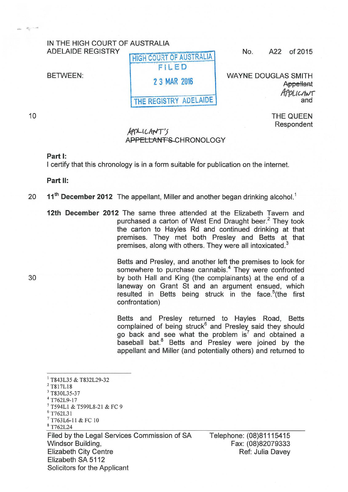## IN THE HIGH COURT OF AUSTRALIA ADELAIDE REGISTRY

BETWEEN:

FILED 2 3 MAR 2016

HIGH COURT OF AUSTRALIA

THE REGISTRY ADELAIDE

No. A22 of 2015

WAYNE DOUGLAS SMITH **Appellant** Applichtur

> THE QUEEN Respondent

## $A P D L L A N T'$ APPELLANT'S CHRONOLOGY

## Part 1:

I certify that this chronology is in a form suitable for publication on the internet.

Part II:

## 20 11<sup>th</sup> December 2012 The appellant, Miller and another began drinking alcohol.<sup>1</sup>

12th December 2012 The same three attended at the Elizabeth Tavern and purchased a carton of West End Draught beer.<sup>2</sup> They took the carton to Hayles Rd and continued drinking at that premises. They met both Presley and Setts at that premises, along with others. They were all intoxicated.<sup>3</sup>

Setts and Presley, and another left the premises to look for somewhere to purchase cannabis.<sup>4</sup> They were confronted 30 by both Hall and King (the complainants) at the end of a laneway on Grant St and an argument ensued, which resulted in Betts being struck in the face.<sup>5</sup> (the first confrontation)

> Betts and Presley returned to Hayles Road, Betts complained of being struck $6$  and Presley said they should go back and see what the problem  $is<sup>7</sup>$  and obtained a baseball bat.<sup>8</sup> Betts and Presley were joined by the appellant and Miller (and potentially others) and returned to

<sup>5</sup> T594L1 & T599L8-21 & FC 9<br><sup>6</sup> T762L31

 $^{7}$  T763L6-11 & FC 10<br> $^{8}$  T762L24

Filed by the Legal Services Commission of SA Windsor Building, Elizabeth City Centre Elizabeth SA 5112 Solicitors for the Applicant

Telephone: (08)81115415 Fax: (08)82079333 Ref: Julia Davey

10

æ.

 $\frac{1}{2}$  T843L35 & T832L29-32<br> $\frac{2}{3}$  T817L18<br> $\frac{3}{4}$  T830L35-37<br> $\frac{4}{1762L9\text{-}17}$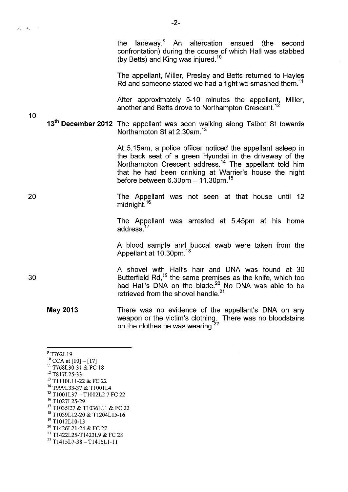10

20

30

the laneway.<sup>9</sup> An altercation ensued (the second confrontation) during the course of which Hall was stabbed (by Betts) and King was injured.<sup>10</sup>

The appellant, Miller, Presley and Setts returned to Hayles Rd and someone stated we had a fight we smashed them.<sup>11</sup>

After approximately 5-10 minutes the appellant, Miller, another and Setts drove to Northampton Crescent. <sup>12</sup>

**13<sup>th</sup> December 2012** The appellant was seen walking along Talbot St towards Northampton St at 2.30am.<sup>13</sup>

> At 5.15am, a police officer noticed the appellant asleep in the back seat of a green Hyundai in the driveway of the Northampton Crescent address.<sup>14</sup> The appellant told him that he had been drinking at Warrier's house the night before between  $6.30$ pm  $- 11.30$ pm.<sup>15</sup>

> The Appellant was not seen at that house until 12 midnight.<sup>16</sup>

> The Appellant was arrested at 5.45pm at his home address. <sup>17</sup>

> A blood sample and buccal swab were taken from the Appellant at 10.30pm.<sup>18</sup>

A shovel with Hall's hair and DNA was found at 30 Butterfield Rd, $^{19}$  the same premises as the knife, which too had Hall's DNA on the blade.<sup>20</sup> No DNA was able to be retrieved from the shovel handle. $21$ 

**May 2013**  There was no evidence of the appellant's DNA on any weapon or the victim's clothing. There was no bloodstains on the clothes he was wearing. $^2$ 

 $^{9}$  T762L19<br><sup>10</sup> CCA at [10] - [17] <sup>11</sup> T768L30-31 & FC 18<br><sup>12</sup> T817L25-33<br><sup>13</sup> T1110L11-22 & FC 22 <sup>14</sup> T999L33-37 & T1001L4 15 TI001L37- TI002L2 7 FC 22 <sup>16</sup> T1027L25-29<br><sup>17</sup> T1035127 & T1036L11 & FC 22 <sup>18</sup> T1039L12-20 & T1204L15-16 <sup>19</sup> T1012L10-13<br><sup>20</sup> T1426L21-24 & FC 27 <sup>21</sup> T1422L25-T1423L9 & FC 28 22 T1415L7-38- T1416LI-11